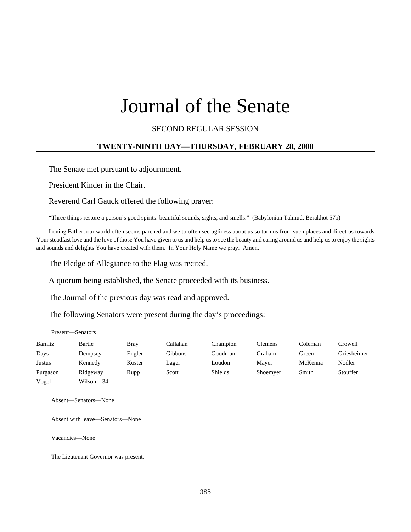# Journal of the Senate

#### SECOND REGULAR SESSION

# **TWENTY-NINTH DAY—THURSDAY, FEBRUARY 28, 2008**

The Senate met pursuant to adjournment.

President Kinder in the Chair.

Reverend Carl Gauck offered the following prayer:

"Three things restore a person's good spirits: beautiful sounds, sights, and smells." (Babylonian Talmud, Berakhot 57b)

Loving Father, our world often seems parched and we to often see ugliness about us so turn us from such places and direct us towards Your steadfast love and the love of those You have given to us and help us to see the beauty and caring around us and help us to enjoy the sights and sounds and delights You have created with them. In Your Holy Name we pray. Amen.

The Pledge of Allegiance to the Flag was recited.

A quorum being established, the Senate proceeded with its business.

The Journal of the previous day was read and approved.

The following Senators were present during the day's proceedings:

Present—Senators

| Barnitz  | Bartle    | <b>Bray</b> | Callahan | Champion       | Clemens  | Coleman | Crowell     |
|----------|-----------|-------------|----------|----------------|----------|---------|-------------|
| Days     | Dempsey   | Engler      | Gibbons  | Goodman        | Graham   | Green   | Griesheimer |
| Justus   | Kennedy   | Koster      | Lager    | Loudon         | Mayer    | McKenna | Nodler      |
| Purgason | Ridgeway  | Rupp        | Scott    | <b>Shields</b> | Shoemyer | Smith   | Stouffer    |
| Vogel    | Wilson-34 |             |          |                |          |         |             |

Absent—Senators—None

Absent with leave—Senators—None

Vacancies—None

The Lieutenant Governor was present.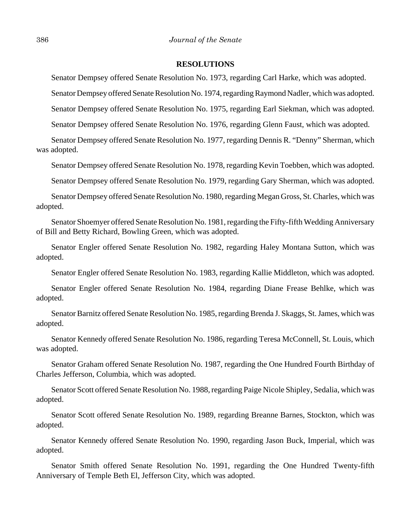#### **RESOLUTIONS**

Senator Dempsey offered Senate Resolution No. 1973, regarding Carl Harke, which was adopted.

Senator Dempsey offered Senate Resolution No. 1974, regarding Raymond Nadler, which was adopted.

Senator Dempsey offered Senate Resolution No. 1975, regarding Earl Siekman, which was adopted.

Senator Dempsey offered Senate Resolution No. 1976, regarding Glenn Faust, which was adopted.

Senator Dempsey offered Senate Resolution No. 1977, regarding Dennis R. "Denny" Sherman, which was adopted.

Senator Dempsey offered Senate Resolution No. 1978, regarding Kevin Toebben, which was adopted.

Senator Dempsey offered Senate Resolution No. 1979, regarding Gary Sherman, which was adopted.

Senator Dempsey offered Senate Resolution No. 1980, regarding Megan Gross, St. Charles, which was adopted.

Senator Shoemyer offered Senate Resolution No. 1981, regarding the Fifty-fifth Wedding Anniversary of Bill and Betty Richard, Bowling Green, which was adopted.

Senator Engler offered Senate Resolution No. 1982, regarding Haley Montana Sutton, which was adopted.

Senator Engler offered Senate Resolution No. 1983, regarding Kallie Middleton, which was adopted.

Senator Engler offered Senate Resolution No. 1984, regarding Diane Frease Behlke, which was adopted.

Senator Barnitz offered Senate Resolution No. 1985, regarding Brenda J. Skaggs, St. James, which was adopted.

Senator Kennedy offered Senate Resolution No. 1986, regarding Teresa McConnell, St. Louis, which was adopted.

Senator Graham offered Senate Resolution No. 1987, regarding the One Hundred Fourth Birthday of Charles Jefferson, Columbia, which was adopted.

Senator Scott offered Senate Resolution No. 1988, regarding Paige Nicole Shipley, Sedalia, which was adopted.

Senator Scott offered Senate Resolution No. 1989, regarding Breanne Barnes, Stockton, which was adopted.

Senator Kennedy offered Senate Resolution No. 1990, regarding Jason Buck, Imperial, which was adopted.

Senator Smith offered Senate Resolution No. 1991, regarding the One Hundred Twenty-fifth Anniversary of Temple Beth El, Jefferson City, which was adopted.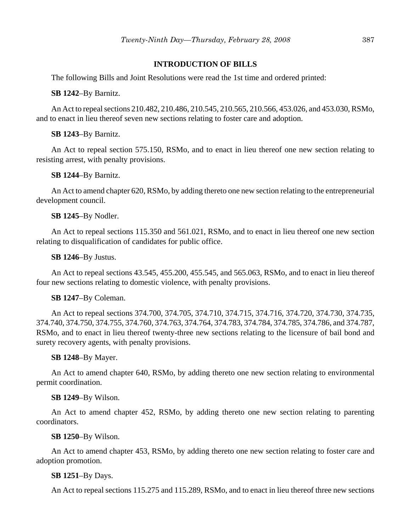#### **INTRODUCTION OF BILLS**

The following Bills and Joint Resolutions were read the 1st time and ordered printed:

#### **SB 1242**–By Barnitz.

An Act to repeal sections 210.482, 210.486, 210.545, 210.565, 210.566, 453.026, and 453.030, RSMo, and to enact in lieu thereof seven new sections relating to foster care and adoption.

#### **SB 1243**–By Barnitz.

An Act to repeal section 575.150, RSMo, and to enact in lieu thereof one new section relating to resisting arrest, with penalty provisions.

#### **SB 1244**–By Barnitz.

An Act to amend chapter 620, RSMo, by adding thereto one new section relating to the entrepreneurial development council.

#### **SB 1245**–By Nodler.

An Act to repeal sections 115.350 and 561.021, RSMo, and to enact in lieu thereof one new section relating to disqualification of candidates for public office.

#### **SB 1246**–By Justus.

An Act to repeal sections 43.545, 455.200, 455.545, and 565.063, RSMo, and to enact in lieu thereof four new sections relating to domestic violence, with penalty provisions.

#### **SB 1247**–By Coleman.

An Act to repeal sections 374.700, 374.705, 374.710, 374.715, 374.716, 374.720, 374.730, 374.735, 374.740, 374.750, 374.755, 374.760, 374.763, 374.764, 374.783, 374.784, 374.785, 374.786, and 374.787, RSMo, and to enact in lieu thereof twenty-three new sections relating to the licensure of bail bond and surety recovery agents, with penalty provisions.

#### **SB 1248**–By Mayer.

An Act to amend chapter 640, RSMo, by adding thereto one new section relating to environmental permit coordination.

#### **SB 1249**–By Wilson.

An Act to amend chapter 452, RSMo, by adding thereto one new section relating to parenting coordinators.

#### **SB 1250**–By Wilson.

An Act to amend chapter 453, RSMo, by adding thereto one new section relating to foster care and adoption promotion.

#### **SB 1251**–By Days.

An Act to repeal sections 115.275 and 115.289, RSMo, and to enact in lieu thereof three new sections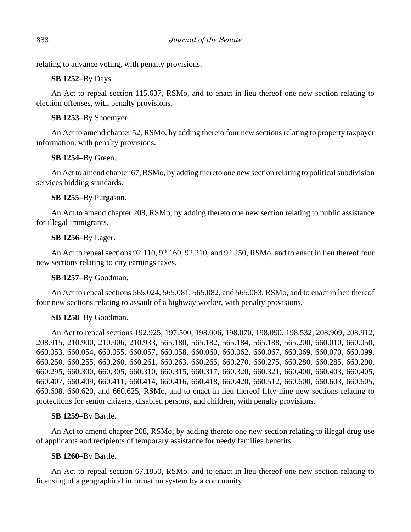relating to advance voting, with penalty provisions.

**SB 1252**–By Days.

An Act to repeal section 115.637, RSMo, and to enact in lieu thereof one new section relating to election offenses, with penalty provisions.

# **SB 1253**–By Shoemyer.

An Act to amend chapter 52, RSMo, by adding thereto four new sections relating to property taxpayer information, with penalty provisions.

# **SB 1254**–By Green.

An Act to amend chapter 67, RSMo, by adding thereto one new section relating to political subdivision services bidding standards.

# **SB 1255**–By Purgason.

An Act to amend chapter 208, RSMo, by adding thereto one new section relating to public assistance for illegal immigrants.

# **SB 1256**–By Lager.

An Act to repeal sections 92.110, 92.160, 92.210, and 92.250, RSMo, and to enact in lieu thereof four new sections relating to city earnings taxes.

# **SB 1257**–By Goodman.

An Act to repeal sections 565.024, 565.081, 565.082, and 565.083, RSMo, and to enact in lieu thereof four new sections relating to assault of a highway worker, with penalty provisions.

# **SB 1258**–By Goodman.

An Act to repeal sections 192.925, 197.500, 198.006, 198.070, 198.090, 198.532, 208.909, 208.912, 208.915, 210.900, 210.906, 210.933, 565.180, 565.182, 565.184, 565.188, 565.200, 660.010, 660.050, 660.053, 660.054, 660.055, 660.057, 660.058, 660.060, 660.062, 660.067, 660.069, 660.070, 660.099, 660.250, 660.255, 660.260, 660.261, 660.263, 660.265, 660.270, 660.275, 660.280, 660.285, 660.290, 660.295, 660.300, 660.305, 660.310, 660.315, 660.317, 660.320, 660.321, 660.400, 660.403, 660.405, 660.407, 660.409, 660.411, 660.414, 660.416, 660.418, 660.420, 660.512, 660.600, 660.603, 660.605, 660.608, 660.620, and 660.625, RSMo, and to enact in lieu thereof fifty-nine new sections relating to protections for senior citizens, disabled persons, and children, with penalty provisions.

# **SB 1259**–By Bartle.

An Act to amend chapter 208, RSMo, by adding thereto one new section relating to illegal drug use of applicants and recipients of temporary assistance for needy families benefits.

# **SB 1260**–By Bartle.

An Act to repeal section 67.1850, RSMo, and to enact in lieu thereof one new section relating to licensing of a geographical information system by a community.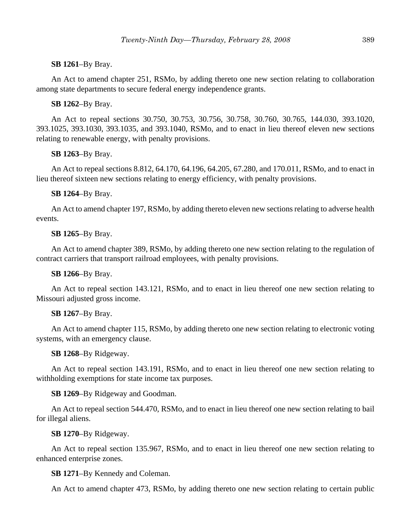#### **SB 1261**–By Bray.

An Act to amend chapter 251, RSMo, by adding thereto one new section relating to collaboration among state departments to secure federal energy independence grants.

#### **SB 1262**–By Bray.

An Act to repeal sections 30.750, 30.753, 30.756, 30.758, 30.760, 30.765, 144.030, 393.1020, 393.1025, 393.1030, 393.1035, and 393.1040, RSMo, and to enact in lieu thereof eleven new sections relating to renewable energy, with penalty provisions.

#### **SB 1263**–By Bray.

An Act to repeal sections 8.812, 64.170, 64.196, 64.205, 67.280, and 170.011, RSMo, and to enact in lieu thereof sixteen new sections relating to energy efficiency, with penalty provisions.

# **SB 1264**–By Bray.

An Act to amend chapter 197, RSMo, by adding thereto eleven new sections relating to adverse health events.

#### **SB 1265**–By Bray.

An Act to amend chapter 389, RSMo, by adding thereto one new section relating to the regulation of contract carriers that transport railroad employees, with penalty provisions.

# **SB 1266**–By Bray.

An Act to repeal section 143.121, RSMo, and to enact in lieu thereof one new section relating to Missouri adjusted gross income.

#### **SB 1267**–By Bray.

An Act to amend chapter 115, RSMo, by adding thereto one new section relating to electronic voting systems, with an emergency clause.

#### **SB 1268**–By Ridgeway.

An Act to repeal section 143.191, RSMo, and to enact in lieu thereof one new section relating to withholding exemptions for state income tax purposes.

# **SB 1269**–By Ridgeway and Goodman.

An Act to repeal section 544.470, RSMo, and to enact in lieu thereof one new section relating to bail for illegal aliens.

# **SB 1270**–By Ridgeway.

An Act to repeal section 135.967, RSMo, and to enact in lieu thereof one new section relating to enhanced enterprise zones.

# **SB 1271**–By Kennedy and Coleman.

An Act to amend chapter 473, RSMo, by adding thereto one new section relating to certain public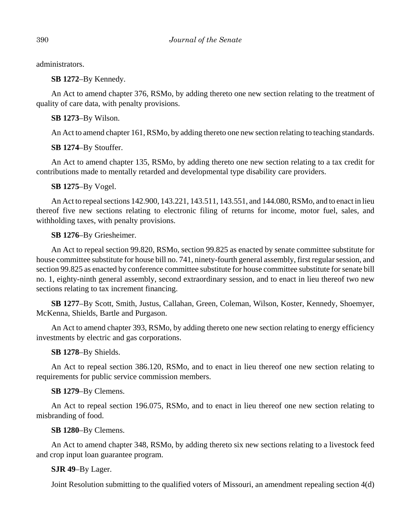administrators.

**SB 1272**–By Kennedy.

An Act to amend chapter 376, RSMo, by adding thereto one new section relating to the treatment of quality of care data, with penalty provisions.

**SB 1273**–By Wilson.

An Act to amend chapter 161, RSMo, by adding thereto one new section relating to teaching standards.

**SB 1274**–By Stouffer.

An Act to amend chapter 135, RSMo, by adding thereto one new section relating to a tax credit for contributions made to mentally retarded and developmental type disability care providers.

**SB 1275**–By Vogel.

An Act to repeal sections 142.900, 143.221, 143.511, 143.551, and 144.080, RSMo, and to enact in lieu thereof five new sections relating to electronic filing of returns for income, motor fuel, sales, and withholding taxes, with penalty provisions.

**SB 1276**–By Griesheimer.

An Act to repeal section 99.820, RSMo, section 99.825 as enacted by senate committee substitute for house committee substitute for house bill no. 741, ninety-fourth general assembly, first regular session, and section 99.825 as enacted by conference committee substitute for house committee substitute for senate bill no. 1, eighty-ninth general assembly, second extraordinary session, and to enact in lieu thereof two new sections relating to tax increment financing.

**SB 1277**–By Scott, Smith, Justus, Callahan, Green, Coleman, Wilson, Koster, Kennedy, Shoemyer, McKenna, Shields, Bartle and Purgason.

An Act to amend chapter 393, RSMo, by adding thereto one new section relating to energy efficiency investments by electric and gas corporations.

**SB 1278**–By Shields.

An Act to repeal section 386.120, RSMo, and to enact in lieu thereof one new section relating to requirements for public service commission members.

**SB 1279**–By Clemens.

An Act to repeal section 196.075, RSMo, and to enact in lieu thereof one new section relating to misbranding of food.

**SB 1280**–By Clemens.

An Act to amend chapter 348, RSMo, by adding thereto six new sections relating to a livestock feed and crop input loan guarantee program.

**SJR 49**–By Lager.

Joint Resolution submitting to the qualified voters of Missouri, an amendment repealing section 4(d)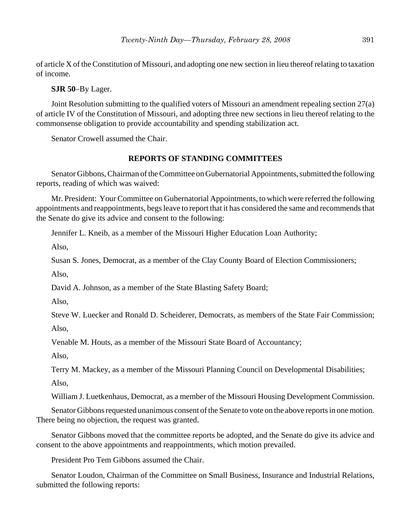of article X of the Constitution of Missouri, and adopting one new section in lieu thereof relating to taxation of income.

**SJR 50**–By Lager.

Joint Resolution submitting to the qualified voters of Missouri an amendment repealing section 27(a) of article IV of the Constitution of Missouri, and adopting three new sections in lieu thereof relating to the commonsense obligation to provide accountability and spending stabilization act.

Senator Crowell assumed the Chair.

#### **REPORTS OF STANDING COMMITTEES**

Senator Gibbons, Chairman of the Committee on Gubernatorial Appointments, submitted the following reports, reading of which was waived:

Mr. President: Your Committee on Gubernatorial Appointments, to which were referred the following appointments and reappointments, begs leave to report that it has considered the same and recommends that the Senate do give its advice and consent to the following:

Jennifer L. Kneib, as a member of the Missouri Higher Education Loan Authority;

Also,

Susan S. Jones, Democrat, as a member of the Clay County Board of Election Commissioners;

Also,

David A. Johnson, as a member of the State Blasting Safety Board;

Also,

Steve W. Luecker and Ronald D. Scheiderer, Democrats, as members of the State Fair Commission; Also,

Venable M. Houts, as a member of the Missouri State Board of Accountancy;

Also,

Terry M. Mackey, as a member of the Missouri Planning Council on Developmental Disabilities;

Also,

William J. Luetkenhaus, Democrat, as a member of the Missouri Housing Development Commission.

Senator Gibbons requested unanimous consent of the Senate to vote on the above reports in one motion. There being no objection, the request was granted.

Senator Gibbons moved that the committee reports be adopted, and the Senate do give its advice and consent to the above appointments and reappointments, which motion prevailed.

President Pro Tem Gibbons assumed the Chair.

Senator Loudon, Chairman of the Committee on Small Business, Insurance and Industrial Relations, submitted the following reports: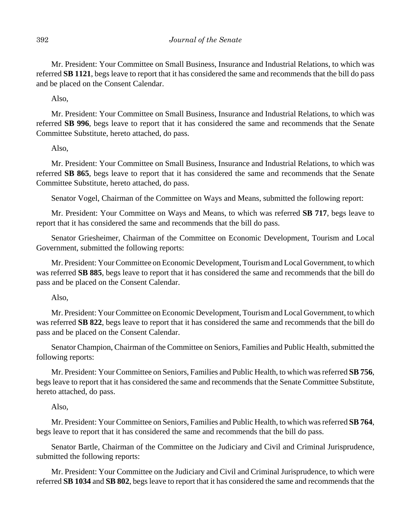Mr. President: Your Committee on Small Business, Insurance and Industrial Relations, to which was referred **SB 1121**, begs leave to report that it has considered the same and recommends that the bill do pass and be placed on the Consent Calendar.

Also,

Mr. President: Your Committee on Small Business, Insurance and Industrial Relations, to which was referred **SB 996**, begs leave to report that it has considered the same and recommends that the Senate Committee Substitute, hereto attached, do pass.

Also,

Mr. President: Your Committee on Small Business, Insurance and Industrial Relations, to which was referred **SB 865**, begs leave to report that it has considered the same and recommends that the Senate Committee Substitute, hereto attached, do pass.

Senator Vogel, Chairman of the Committee on Ways and Means, submitted the following report:

Mr. President: Your Committee on Ways and Means, to which was referred **SB 717**, begs leave to report that it has considered the same and recommends that the bill do pass.

Senator Griesheimer, Chairman of the Committee on Economic Development, Tourism and Local Government, submitted the following reports:

Mr. President: Your Committee on Economic Development, Tourism and Local Government, to which was referred **SB 885**, begs leave to report that it has considered the same and recommends that the bill do pass and be placed on the Consent Calendar.

Also,

Mr. President: Your Committee on Economic Development, Tourism and Local Government, to which was referred **SB 822**, begs leave to report that it has considered the same and recommends that the bill do pass and be placed on the Consent Calendar.

Senator Champion, Chairman of the Committee on Seniors, Families and Public Health, submitted the following reports:

Mr. President: Your Committee on Seniors, Families and Public Health, to which was referred **SB 756**, begs leave to report that it has considered the same and recommends that the Senate Committee Substitute, hereto attached, do pass.

Also,

Mr. President: Your Committee on Seniors, Families and Public Health, to which was referred **SB 764**, begs leave to report that it has considered the same and recommends that the bill do pass.

Senator Bartle, Chairman of the Committee on the Judiciary and Civil and Criminal Jurisprudence, submitted the following reports:

Mr. President: Your Committee on the Judiciary and Civil and Criminal Jurisprudence, to which were referred **SB 1034** and **SB 802**, begs leave to report that it has considered the same and recommends that the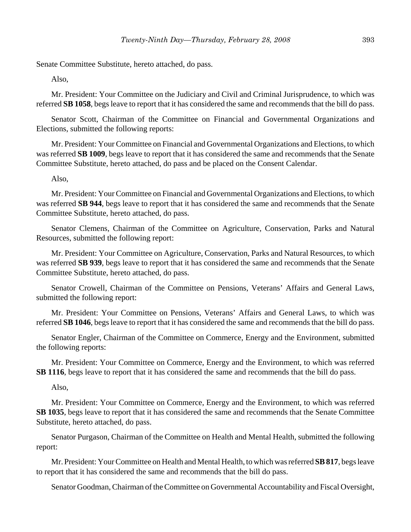Senate Committee Substitute, hereto attached, do pass.

Also,

Mr. President: Your Committee on the Judiciary and Civil and Criminal Jurisprudence, to which was referred **SB 1058**, begs leave to report that it has considered the same and recommends that the bill do pass.

Senator Scott, Chairman of the Committee on Financial and Governmental Organizations and Elections, submitted the following reports:

Mr. President: Your Committee on Financial and Governmental Organizations and Elections, to which was referred **SB 1009**, begs leave to report that it has considered the same and recommends that the Senate Committee Substitute, hereto attached, do pass and be placed on the Consent Calendar.

Also,

Mr. President: Your Committee on Financial and Governmental Organizations and Elections, to which was referred **SB 944**, begs leave to report that it has considered the same and recommends that the Senate Committee Substitute, hereto attached, do pass.

Senator Clemens, Chairman of the Committee on Agriculture, Conservation, Parks and Natural Resources, submitted the following report:

Mr. President: Your Committee on Agriculture, Conservation, Parks and Natural Resources, to which was referred **SB 939**, begs leave to report that it has considered the same and recommends that the Senate Committee Substitute, hereto attached, do pass.

Senator Crowell, Chairman of the Committee on Pensions, Veterans' Affairs and General Laws, submitted the following report:

Mr. President: Your Committee on Pensions, Veterans' Affairs and General Laws, to which was referred **SB 1046**, begs leave to report that it has considered the same and recommends that the bill do pass.

Senator Engler, Chairman of the Committee on Commerce, Energy and the Environment, submitted the following reports:

Mr. President: Your Committee on Commerce, Energy and the Environment, to which was referred **SB 1116**, begs leave to report that it has considered the same and recommends that the bill do pass.

Also,

Mr. President: Your Committee on Commerce, Energy and the Environment, to which was referred **SB 1035**, begs leave to report that it has considered the same and recommends that the Senate Committee Substitute, hereto attached, do pass.

Senator Purgason, Chairman of the Committee on Health and Mental Health, submitted the following report:

Mr. President: Your Committee on Health and Mental Health, to which was referred **SB 817**, begs leave to report that it has considered the same and recommends that the bill do pass.

Senator Goodman, Chairman of the Committee on Governmental Accountability and Fiscal Oversight,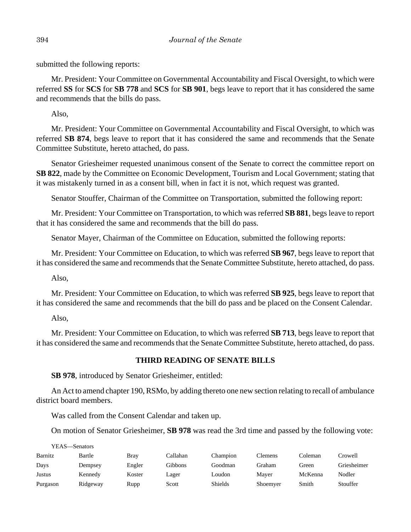submitted the following reports:

Mr. President: Your Committee on Governmental Accountability and Fiscal Oversight, to which were referred **SS** for **SCS** for **SB 778** and **SCS** for **SB 901**, begs leave to report that it has considered the same and recommends that the bills do pass.

Also,

Mr. President: Your Committee on Governmental Accountability and Fiscal Oversight, to which was referred **SB 874**, begs leave to report that it has considered the same and recommends that the Senate Committee Substitute, hereto attached, do pass.

Senator Griesheimer requested unanimous consent of the Senate to correct the committee report on **SB 822**, made by the Committee on Economic Development, Tourism and Local Government; stating that it was mistakenly turned in as a consent bill, when in fact it is not, which request was granted.

Senator Stouffer, Chairman of the Committee on Transportation, submitted the following report:

Mr. President: Your Committee on Transportation, to which was referred **SB 881**, begs leave to report that it has considered the same and recommends that the bill do pass.

Senator Mayer, Chairman of the Committee on Education, submitted the following reports:

Mr. President: Your Committee on Education, to which was referred **SB 967**, begs leave to report that it has considered the same and recommends that the Senate Committee Substitute, hereto attached, do pass.

Also,

Mr. President: Your Committee on Education, to which was referred **SB 925**, begs leave to report that it has considered the same and recommends that the bill do pass and be placed on the Consent Calendar.

Also,

Mr. President: Your Committee on Education, to which was referred **SB 713**, begs leave to report that it has considered the same and recommends that the Senate Committee Substitute, hereto attached, do pass.

# **THIRD READING OF SENATE BILLS**

**SB 978**, introduced by Senator Griesheimer, entitled:

An Act to amend chapter 190, RSMo, by adding thereto one new section relating to recall of ambulance district board members.

Was called from the Consent Calendar and taken up.

On motion of Senator Griesheimer, **SB 978** was read the 3rd time and passed by the following vote:

| YEAS—Senators |          |             |          |                |          |         |             |
|---------------|----------|-------------|----------|----------------|----------|---------|-------------|
| Barnitz       | Bartle   | <b>Bray</b> | Callahan | Champion       | Clemens  | Coleman | Crowell     |
| Days          | Dempsey  | Engler      | Gibbons  | Goodman        | Graham   | Green   | Griesheimer |
| Justus        | Kennedy  | Koster      | Lager    | Loudon         | Mayer    | McKenna | Nodler      |
| Purgason      | Ridgeway | Rupp        | Scott    | <b>Shields</b> | Shoemyer | Smith   | Stouffer    |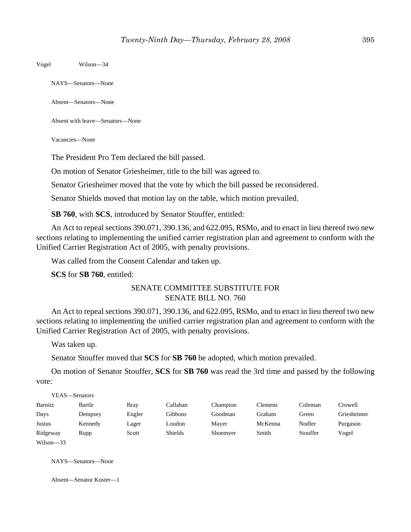Vogel Wilson—34

NAYS—Senators—None

Absent—Senators—None

Absent with leave—Senators—None

Vacancies—None

The President Pro Tem declared the bill passed.

On motion of Senator Griesheimer, title to the bill was agreed to.

Senator Griesheimer moved that the vote by which the bill passed be reconsidered.

Senator Shields moved that motion lay on the table, which motion prevailed.

**SB 760**, with **SCS**, introduced by Senator Stouffer, entitled:

An Act to repeal sections 390.071, 390.136, and 622.095, RSMo, and to enact in lieu thereof two new sections relating to implementing the unified carrier registration plan and agreement to conform with the Unified Carrier Registration Act of 2005, with penalty provisions.

Was called from the Consent Calendar and taken up.

**SCS** for **SB 760**, entitled:

# SENATE COMMITTEE SUBSTITUTE FOR SENATE BILL NO. 760

An Act to repeal sections 390.071, 390.136, and 622.095, RSMo, and to enact in lieu thereof two new sections relating to implementing the unified carrier registration plan and agreement to conform with the Unified Carrier Registration Act of 2005, with penalty provisions.

Was taken up.

Senator Stouffer moved that **SCS** for **SB 760** be adopted, which motion prevailed.

On motion of Senator Stouffer, **SCS** for **SB 760** was read the 3rd time and passed by the following vote:

|               | YEAS—Senators |             |          |          |                |          |             |
|---------------|---------------|-------------|----------|----------|----------------|----------|-------------|
| Barnitz       | Bartle        | <b>Bray</b> | Callahan | Champion | <b>Clemens</b> | Coleman  | Crowell     |
| Days          | Dempsey       | Engler      | Gibbons  | Goodman  | Graham         | Green    | Griesheimer |
| Justus        | Kennedy       | Lager       | Loudon   | Mayer    | McKenna        | Nodler   | Purgason    |
| Ridgeway      | Rupp          | Scott       | Shields  | Shoemyer | Smith          | Stouffer | Vogel       |
| $Wilson - 33$ |               |             |          |          |                |          |             |

NAYS—Senators—None

Absent—Senator Koster—1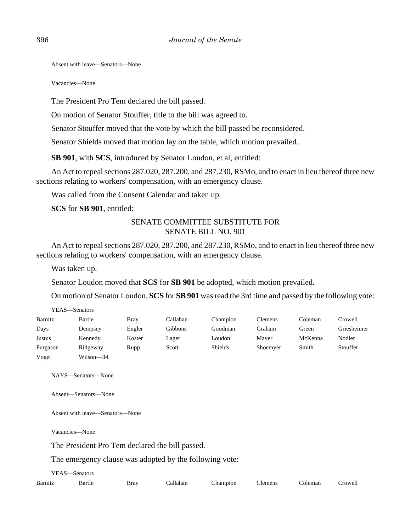Absent with leave—Senators—None

Vacancies—None

The President Pro Tem declared the bill passed.

On motion of Senator Stouffer, title to the bill was agreed to.

Senator Stouffer moved that the vote by which the bill passed be reconsidered.

Senator Shields moved that motion lay on the table, which motion prevailed.

**SB 901**, with **SCS**, introduced by Senator Loudon, et al, entitled:

An Act to repeal sections 287.020, 287.200, and 287.230, RSMo, and to enact in lieu thereof three new sections relating to workers' compensation, with an emergency clause.

Was called from the Consent Calendar and taken up.

**SCS** for **SB 901**, entitled:

# SENATE COMMITTEE SUBSTITUTE FOR SENATE BILL NO. 901

An Act to repeal sections 287.020, 287.200, and 287.230, RSMo, and to enact in lieu thereof three new sections relating to workers' compensation, with an emergency clause.

Was taken up.

Senator Loudon moved that **SCS** for **SB 901** be adopted, which motion prevailed.

On motion of Senator Loudon, **SCS** for **SB 901** was read the 3rd time and passed by the following vote:

| Barnitz  | Bartle    | <b>Brav</b> | Callahan | Champion       | Clemens  | Coleman | Crowell     |
|----------|-----------|-------------|----------|----------------|----------|---------|-------------|
| Days     | Dempsey   | Engler      | Gibbons  | Goodman        | Graham   | Green   | Griesheimer |
| Justus   | Kennedy   | Koster      | Lager    | Loudon         | Mayer    | McKenna | Nodler      |
| Purgason | Ridgeway  | Rupp        | Scott    | <b>Shields</b> | Shoemyer | Smith   | Stouffer    |
| Vogel    | Wilson-34 |             |          |                |          |         |             |

NAYS—Senators—None

Absent—Senators—None

Absent with leave—Senators—None

Vacancies—None

The President Pro Tem declared the bill passed.

The emergency clause was adopted by the following vote:

| YEAS—Senators |        |             |          |                  |         |         |
|---------------|--------|-------------|----------|------------------|---------|---------|
| Barnitz       | Bartle | <b>Bray</b> | Callahan | Champion Clemens | Coleman | Crowell |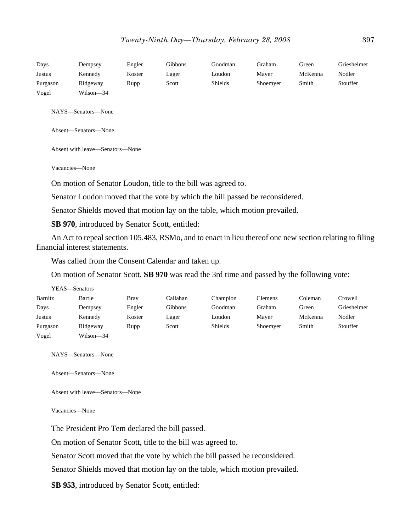| Days     | Dempsey                                                                                                 | Engler | Gibbons | Goodman | Graham   | Green   | Griesheimer |  |  |  |
|----------|---------------------------------------------------------------------------------------------------------|--------|---------|---------|----------|---------|-------------|--|--|--|
| Justus   | Kennedy                                                                                                 | Koster | Lager   | Loudon  | Mayer    | McKenna | Nodler      |  |  |  |
| Purgason | Ridgeway                                                                                                | Rupp   | Scott   | Shields | Shoemyer | Smith   | Stouffer    |  |  |  |
| Vogel    | Wilson-34                                                                                               |        |         |         |          |         |             |  |  |  |
|          |                                                                                                         |        |         |         |          |         |             |  |  |  |
|          | NAYS-Senators-None                                                                                      |        |         |         |          |         |             |  |  |  |
|          |                                                                                                         |        |         |         |          |         |             |  |  |  |
|          | Absent-Senators-None                                                                                    |        |         |         |          |         |             |  |  |  |
|          |                                                                                                         |        |         |         |          |         |             |  |  |  |
|          | Absent with leave-Senators-None                                                                         |        |         |         |          |         |             |  |  |  |
|          |                                                                                                         |        |         |         |          |         |             |  |  |  |
|          | Vacancies-None                                                                                          |        |         |         |          |         |             |  |  |  |
|          |                                                                                                         |        |         |         |          |         |             |  |  |  |
|          | On motion of Senator Loudon, title to the bill was agreed to.                                           |        |         |         |          |         |             |  |  |  |
|          | Senator Loudon moved that the vote by which the bill passed be reconsidered.                            |        |         |         |          |         |             |  |  |  |
|          |                                                                                                         |        |         |         |          |         |             |  |  |  |
|          | Senator Shields moved that motion lay on the table, which motion prevailed.                             |        |         |         |          |         |             |  |  |  |
|          | <b>SB 970</b> , introduced by Senator Scott, entitled:                                                  |        |         |         |          |         |             |  |  |  |
|          |                                                                                                         |        |         |         |          |         |             |  |  |  |
|          | An Act to repeal section 105.483, RSMo, and to enact in lieu thereof one new section relating to filing |        |         |         |          |         |             |  |  |  |
|          | financial interest statements.                                                                          |        |         |         |          |         |             |  |  |  |

Was called from the Consent Calendar and taken up.

On motion of Senator Scott, **SB 970** was read the 3rd time and passed by the following vote:

|          | YEAS—Senators |        |          |                |          |         |             |
|----------|---------------|--------|----------|----------------|----------|---------|-------------|
| Barnitz  | Bartle        | Brav   | Callahan | Champion       | Clemens  | Coleman | Crowell     |
| Days     | Dempsey       | Engler | Gibbons  | Goodman        | Graham   | Green   | Griesheimer |
| Justus   | Kennedy       | Koster | Lager    | Loudon         | Mayer    | McKenna | Nodler      |
| Purgason | Ridgeway      | Rupp   | Scott    | <b>Shields</b> | Shoemyer | Smith   | Stouffer    |
| Vogel    | Wilson-34     |        |          |                |          |         |             |

NAYS—Senators—None

Absent—Senators—None

Absent with leave—Senators—None

Vacancies—None

The President Pro Tem declared the bill passed.

On motion of Senator Scott, title to the bill was agreed to.

Senator Scott moved that the vote by which the bill passed be reconsidered.

Senator Shields moved that motion lay on the table, which motion prevailed.

**SB 953**, introduced by Senator Scott, entitled: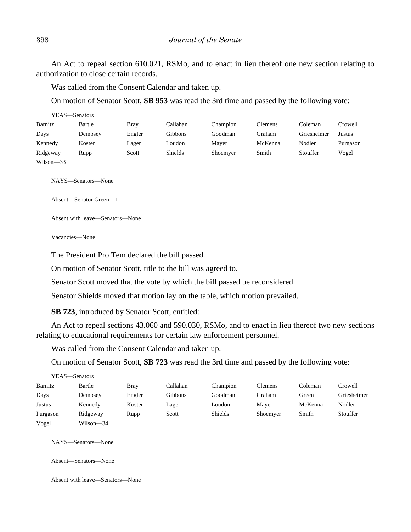An Act to repeal section 610.021, RSMo, and to enact in lieu thereof one new section relating to authorization to close certain records.

Was called from the Consent Calendar and taken up.

On motion of Senator Scott, **SB 953** was read the 3rd time and passed by the following vote:

| YEAS—Senators |         |             |          |          |                |             |          |
|---------------|---------|-------------|----------|----------|----------------|-------------|----------|
| Barnitz       | Bartle  | <b>Bray</b> | Callahan | Champion | <b>Clemens</b> | Coleman     | Crowell  |
| Days          | Dempsey | Engler      | Gibbons  | Goodman  | Graham         | Griesheimer | Justus   |
| Kennedy       | Koster  | Lager       | Loudon   | Maver    | McKenna        | Nodler      | Purgason |
| Ridgeway      | Rupp    | Scott       | Shields  | Shoemyer | Smith          | Stouffer    | Vogel    |
| $Wilson - 33$ |         |             |          |          |                |             |          |

NAYS—Senators—None

Absent—Senator Green—1

Absent with leave—Senators—None

Vacancies—None

The President Pro Tem declared the bill passed.

On motion of Senator Scott, title to the bill was agreed to.

Senator Scott moved that the vote by which the bill passed be reconsidered.

Senator Shields moved that motion lay on the table, which motion prevailed.

**SB 723**, introduced by Senator Scott, entitled:

An Act to repeal sections 43.060 and 590.030, RSMo, and to enact in lieu thereof two new sections relating to educational requirements for certain law enforcement personnel.

Was called from the Consent Calendar and taken up.

On motion of Senator Scott, **SB 723** was read the 3rd time and passed by the following vote:

|          | YEAS—Senators |             |          |                |          |         |             |
|----------|---------------|-------------|----------|----------------|----------|---------|-------------|
| Barnitz  | Bartle        | <b>Bray</b> | Callahan | Champion       | Clemens  | Coleman | Crowell     |
| Days     | Dempsey       | Engler      | Gibbons  | Goodman        | Graham   | Green   | Griesheimer |
| Justus   | Kennedy       | Koster      | Lager    | Loudon         | Maver    | McKenna | Nodler      |
| Purgason | Ridgeway      | Rupp        | Scott    | <b>Shields</b> | Shoemyer | Smith   | Stouffer    |
| Vogel    | Wilson-34     |             |          |                |          |         |             |

NAYS—Senators—None

Absent—Senators—None

Absent with leave—Senators—None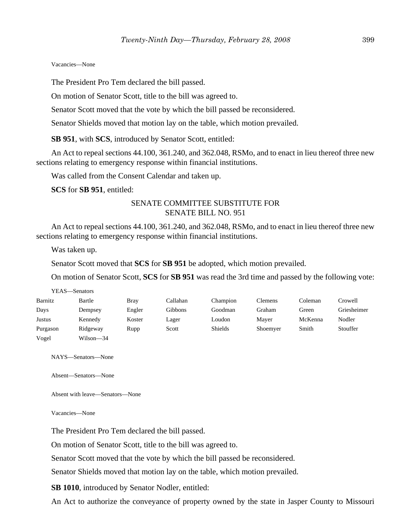#### Vacancies—None

The President Pro Tem declared the bill passed.

On motion of Senator Scott, title to the bill was agreed to.

Senator Scott moved that the vote by which the bill passed be reconsidered.

Senator Shields moved that motion lay on the table, which motion prevailed.

**SB 951**, with **SCS**, introduced by Senator Scott, entitled:

An Act to repeal sections 44.100, 361.240, and 362.048, RSMo, and to enact in lieu thereof three new sections relating to emergency response within financial institutions.

Was called from the Consent Calendar and taken up.

**SCS** for **SB 951**, entitled:

# SENATE COMMITTEE SUBSTITUTE FOR SENATE BILL NO. 951

An Act to repeal sections 44.100, 361.240, and 362.048, RSMo, and to enact in lieu thereof three new sections relating to emergency response within financial institutions.

Was taken up.

Senator Scott moved that **SCS** for **SB 951** be adopted, which motion prevailed.

On motion of Senator Scott, **SCS** for **SB 951** was read the 3rd time and passed by the following vote:

|               | YEAS—Senators |             |          |          |                |         |             |
|---------------|---------------|-------------|----------|----------|----------------|---------|-------------|
| Barnitz       | Bartle        | <b>Bray</b> | Callahan | Champion | <b>Clemens</b> | Coleman | Crowell     |
| Days          | Dempsey       | Engler      | Gibbons  | Goodman  | Graham         | Green   | Griesheimer |
| <b>Justus</b> | Kennedy       | Koster      | Lager    | Loudon   | Maver          | McKenna | Nodler      |
| Purgason      | Ridgeway      | Rupp        | Scott    | Shields  | Shoemyer       | Smith   | Stouffer    |
| Vogel         | Wilson-34     |             |          |          |                |         |             |

NAYS—Senators—None

Absent—Senators—None

Absent with leave—Senators—None

Vacancies—None

The President Pro Tem declared the bill passed.

On motion of Senator Scott, title to the bill was agreed to.

Senator Scott moved that the vote by which the bill passed be reconsidered.

Senator Shields moved that motion lay on the table, which motion prevailed.

**SB 1010**, introduced by Senator Nodler, entitled:

An Act to authorize the conveyance of property owned by the state in Jasper County to Missouri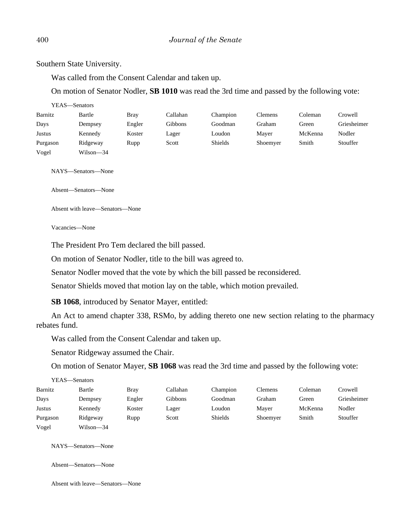Southern State University.

Was called from the Consent Calendar and taken up.

On motion of Senator Nodler, **SB 1010** was read the 3rd time and passed by the following vote:

|          | YEAS—Senators |        |          |                |                |         |             |
|----------|---------------|--------|----------|----------------|----------------|---------|-------------|
| Barnitz  | Bartle        | Bray   | Callahan | Champion       | <b>Clemens</b> | Coleman | Crowell     |
| Days     | Dempsey       | Engler | Gibbons  | Goodman        | Graham         | Green   | Griesheimer |
| Justus   | Kennedy       | Koster | Lager    | Loudon         | Mayer          | McKenna | Nodler      |
| Purgason | Ridgeway      | Rupp   | Scott    | <b>Shields</b> | Shoemyer       | Smith   | Stouffer    |
| Vogel    | Wilson—34     |        |          |                |                |         |             |

NAYS—Senators—None

Absent—Senators—None

Absent with leave—Senators—None

Vacancies—None

The President Pro Tem declared the bill passed.

On motion of Senator Nodler, title to the bill was agreed to.

Senator Nodler moved that the vote by which the bill passed be reconsidered.

Senator Shields moved that motion lay on the table, which motion prevailed.

**SB 1068**, introduced by Senator Mayer, entitled:

An Act to amend chapter 338, RSMo, by adding thereto one new section relating to the pharmacy rebates fund.

Was called from the Consent Calendar and taken up.

Senator Ridgeway assumed the Chair.

On motion of Senator Mayer, **SB 1068** was read the 3rd time and passed by the following vote:

|          | YEAS—Senators |        |          |          |          |         |             |
|----------|---------------|--------|----------|----------|----------|---------|-------------|
| Barnitz  | Bartle        | Bray   | Callahan | Champion | Clemens  | Coleman | Crowell     |
| Days     | Dempsey       | Engler | Gibbons  | Goodman  | Graham   | Green   | Griesheimer |
| Justus   | Kennedy       | Koster | Lager    | Loudon   | Mayer    | McKenna | Nodler      |
| Purgason | Ridgeway      | Rupp   | Scott    | Shields  | Shoemyer | Smith   | Stouffer    |
| Vogel    | Wilson—34     |        |          |          |          |         |             |

NAYS—Senators—None

Absent—Senators—None

Absent with leave—Senators—None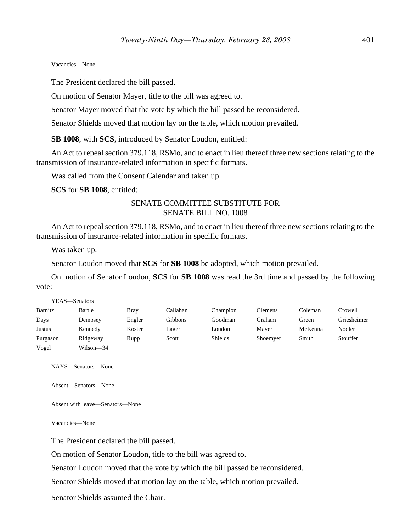#### Vacancies—None

The President declared the bill passed.

On motion of Senator Mayer, title to the bill was agreed to.

Senator Mayer moved that the vote by which the bill passed be reconsidered.

Senator Shields moved that motion lay on the table, which motion prevailed.

**SB 1008**, with **SCS**, introduced by Senator Loudon, entitled:

An Act to repeal section 379.118, RSMo, and to enact in lieu thereof three new sections relating to the transmission of insurance-related information in specific formats.

Was called from the Consent Calendar and taken up.

**SCS** for **SB 1008**, entitled:

# SENATE COMMITTEE SUBSTITUTE FOR SENATE BILL NO. 1008

An Act to repeal section 379.118, RSMo, and to enact in lieu thereof three new sections relating to the transmission of insurance-related information in specific formats.

Was taken up.

Senator Loudon moved that **SCS** for **SB 1008** be adopted, which motion prevailed.

On motion of Senator Loudon, **SCS** for **SB 1008** was read the 3rd time and passed by the following vote:

|          | YEAS—Senators |             |          |          |          |         |             |
|----------|---------------|-------------|----------|----------|----------|---------|-------------|
| Barnitz  | Bartle        | <b>Bray</b> | Callahan | Champion | Clemens  | Coleman | Crowell     |
| Days     | Dempsey       | Engler      | Gibbons  | Goodman  | Graham   | Green   | Griesheimer |
| Justus   | Kennedy       | Koster      | Lager    | Loudon   | Maver    | McKenna | Nodler      |
| Purgason | Ridgeway      | Rupp        | Scott    | Shields  | Shoemyer | Smith   | Stouffer    |
| Vogel    | Wilson—34     |             |          |          |          |         |             |

NAYS—Senators—None

Absent—Senators—None

Absent with leave—Senators—None

Vacancies—None

The President declared the bill passed.

On motion of Senator Loudon, title to the bill was agreed to.

Senator Loudon moved that the vote by which the bill passed be reconsidered.

Senator Shields moved that motion lay on the table, which motion prevailed.

Senator Shields assumed the Chair.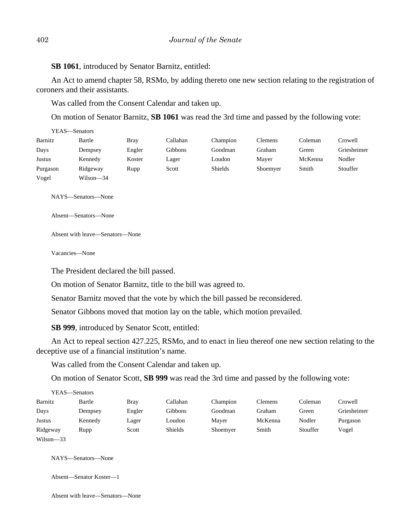**SB 1061**, introduced by Senator Barnitz, entitled:

An Act to amend chapter 58, RSMo, by adding thereto one new section relating to the registration of coroners and their assistants.

Was called from the Consent Calendar and taken up.

On motion of Senator Barnitz, **SB 1061** was read the 3rd time and passed by the following vote:

| YEAS—Senators |           |        |          |                |          |         |             |
|---------------|-----------|--------|----------|----------------|----------|---------|-------------|
| Barnitz       | Bartle    | Bray   | Callahan | Champion       | Clemens  | Coleman | Crowell     |
| Days          | Dempsey   | Engler | Gibbons  | Goodman        | Graham   | Green   | Griesheimer |
| Justus        | Kennedy   | Koster | Lager    | Loudon         | Maver    | McKenna | Nodler      |
| Purgason      | Ridgeway  | Rupp   | Scott    | <b>Shields</b> | Shoemyer | Smith   | Stouffer    |
| Vogel         | Wilson—34 |        |          |                |          |         |             |

NAYS—Senators—None

Absent—Senators—None

Absent with leave—Senators—None

Vacancies—None

The President declared the bill passed.

On motion of Senator Barnitz, title to the bill was agreed to.

Senator Barnitz moved that the vote by which the bill passed be reconsidered.

Senator Gibbons moved that motion lay on the table, which motion prevailed.

**SB 999**, introduced by Senator Scott, entitled:

An Act to repeal section 427.225, RSMo, and to enact in lieu thereof one new section relating to the deceptive use of a financial institution's name.

Was called from the Consent Calendar and taken up.

On motion of Senator Scott, **SB 999** was read the 3rd time and passed by the following vote:

| YEAS—Senators |         |             |          |          |                |          |             |
|---------------|---------|-------------|----------|----------|----------------|----------|-------------|
| Barnitz       | Bartle  | <b>Bray</b> | Callahan | Champion | <b>Clemens</b> | Coleman  | Crowell     |
| Days          | Dempsey | Engler      | Gibbons  | Goodman  | Graham         | Green    | Griesheimer |
| Justus        | Kennedy | Lager       | Loudon   | Maver    | McKenna        | Nodler   | Purgason    |
| Ridgeway      | Rupp    | Scott       | Shields  | Shoemyer | Smith          | Stouffer | Vogel       |
| $Wilson - 33$ |         |             |          |          |                |          |             |

NAYS—Senators—None

Absent—Senator Koster—1

Absent with leave—Senators—None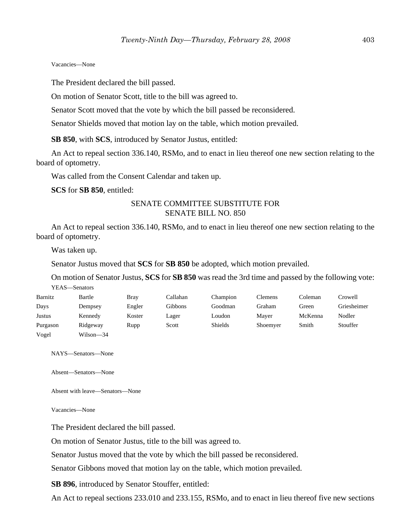#### Vacancies—None

The President declared the bill passed.

On motion of Senator Scott, title to the bill was agreed to.

Senator Scott moved that the vote by which the bill passed be reconsidered.

Senator Shields moved that motion lay on the table, which motion prevailed.

**SB 850**, with **SCS**, introduced by Senator Justus, entitled:

An Act to repeal section 336.140, RSMo, and to enact in lieu thereof one new section relating to the board of optometry.

Was called from the Consent Calendar and taken up.

**SCS** for **SB 850**, entitled:

# SENATE COMMITTEE SUBSTITUTE FOR SENATE BILL NO. 850

An Act to repeal section 336.140, RSMo, and to enact in lieu thereof one new section relating to the board of optometry.

Was taken up.

Senator Justus moved that **SCS** for **SB 850** be adopted, which motion prevailed.

On motion of Senator Justus, **SCS** for **SB 850** was read the 3rd time and passed by the following vote: YEAS—Senators

| Barnitz  | Bartle    | <b>Bray</b> | Callahan | Champion | Clemens  | Coleman | Crowell     |
|----------|-----------|-------------|----------|----------|----------|---------|-------------|
| Days     | Dempsey   | Engler      | Gibbons  | Goodman  | Graham   | Green   | Griesheimer |
| Justus   | Kennedy   | Koster      | Lager    | Loudon   | Mayer    | McKenna | Nodler      |
| Purgason | Ridgeway  | Rupp        | Scott    | Shields  | Shoemyer | Smith   | Stouffer    |
| Vogel    | Wilson-34 |             |          |          |          |         |             |

NAYS—Senators—None

Absent—Senators—None

Absent with leave—Senators—None

Vacancies—None

The President declared the bill passed.

On motion of Senator Justus, title to the bill was agreed to.

Senator Justus moved that the vote by which the bill passed be reconsidered.

Senator Gibbons moved that motion lay on the table, which motion prevailed.

**SB 896**, introduced by Senator Stouffer, entitled:

An Act to repeal sections 233.010 and 233.155, RSMo, and to enact in lieu thereof five new sections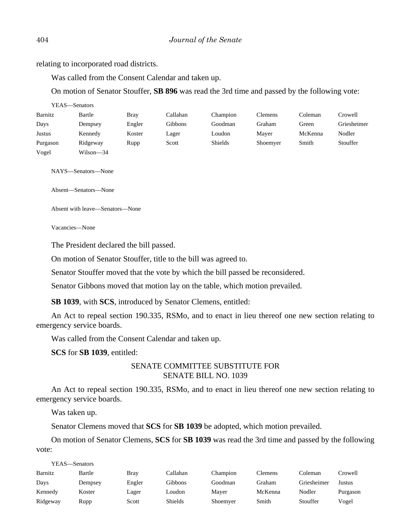relating to incorporated road districts.

Was called from the Consent Calendar and taken up.

On motion of Senator Stouffer, **SB 896** was read the 3rd time and passed by the following vote:

| YEAS—Senators |           |        |          |          |                |         |             |
|---------------|-----------|--------|----------|----------|----------------|---------|-------------|
| Barnitz       | Bartle    | Bray   | Callahan | Champion | <b>Clemens</b> | Coleman | Crowell     |
| Days          | Dempsey   | Engler | Gibbons  | Goodman  | Graham         | Green   | Griesheimer |
| Justus        | Kennedy   | Koster | Lager    | Loudon   | Mayer          | McKenna | Nodler      |
| Purgason      | Ridgeway  | Rupp   | Scott    | Shields  | Shoemyer       | Smith   | Stouffer    |
| Vogel         | Wilson-34 |        |          |          |                |         |             |

NAYS—Senators—None

Absent—Senators—None

Absent with leave—Senators—None

Vacancies—None

The President declared the bill passed.

On motion of Senator Stouffer, title to the bill was agreed to.

Senator Stouffer moved that the vote by which the bill passed be reconsidered.

Senator Gibbons moved that motion lay on the table, which motion prevailed.

**SB 1039**, with **SCS**, introduced by Senator Clemens, entitled:

An Act to repeal section 190.335, RSMo, and to enact in lieu thereof one new section relating to emergency service boards.

Was called from the Consent Calendar and taken up.

**SCS** for **SB 1039**, entitled:

# SENATE COMMITTEE SUBSTITUTE FOR SENATE BILL NO. 1039

An Act to repeal section 190.335, RSMo, and to enact in lieu thereof one new section relating to emergency service boards.

Was taken up.

Senator Clemens moved that **SCS** for **SB 1039** be adopted, which motion prevailed.

On motion of Senator Clemens, **SCS** for **SB 1039** was read the 3rd time and passed by the following vote:

| YEAS—Senators |         |        |                |          |                |             |          |
|---------------|---------|--------|----------------|----------|----------------|-------------|----------|
| Barnitz       | Bartle  | Bray   | Callahan       | Champion | <b>Clemens</b> | Coleman     | Crowell  |
| Days          | Dempsey | Engler | Gibbons        | Goodman  | Graham         | Griesheimer | Justus   |
| Kennedy       | Koster  | Lager  | Loudon         | Maver    | McKenna        | Nodler      | Purgason |
| Ridgeway      | Rupp    | Scott  | <b>Shields</b> | Shoemyer | Smith          | Stouffer    | Vogel    |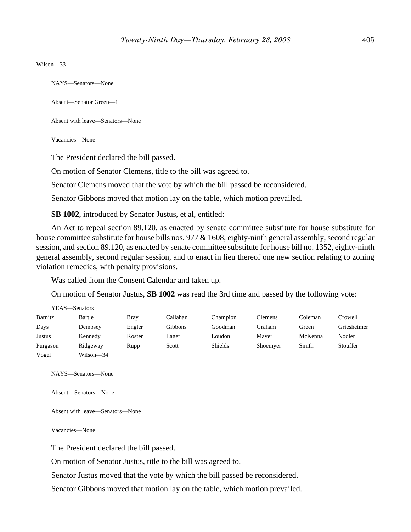Wilson—33

NAYS—Senators—None

Absent—Senator Green—1

Absent with leave—Senators—None

Vacancies—None

The President declared the bill passed.

On motion of Senator Clemens, title to the bill was agreed to.

Senator Clemens moved that the vote by which the bill passed be reconsidered.

Senator Gibbons moved that motion lay on the table, which motion prevailed.

**SB 1002**, introduced by Senator Justus, et al, entitled:

An Act to repeal section 89.120, as enacted by senate committee substitute for house substitute for house committee substitute for house bills nos. 977 & 1608, eighty-ninth general assembly, second regular session, and section 89.120, as enacted by senate committee substitute for house bill no. 1352, eighty-ninth general assembly, second regular session, and to enact in lieu thereof one new section relating to zoning violation remedies, with penalty provisions.

Was called from the Consent Calendar and taken up.

On motion of Senator Justus, **SB 1002** was read the 3rd time and passed by the following vote:

| YEAS—Senators |           |             |          |                |                |         |             |
|---------------|-----------|-------------|----------|----------------|----------------|---------|-------------|
| Barnitz       | Bartle    | <b>Bray</b> | Callahan | Champion       | <b>Clemens</b> | Coleman | Crowell     |
| Days          | Dempsey   | Engler      | Gibbons  | Goodman        | Graham         | Green   | Griesheimer |
| Justus        | Kennedy   | Koster      | Lager    | Loudon         | Maver          | McKenna | Nodler      |
| Purgason      | Ridgeway  | Rupp        | Scott    | <b>Shields</b> | Shoemyer       | Smith   | Stouffer    |
| Vogel         | Wilson—34 |             |          |                |                |         |             |

NAYS—Senators—None

Absent—Senators—None

Absent with leave—Senators—None

Vacancies—None

The President declared the bill passed.

On motion of Senator Justus, title to the bill was agreed to.

Senator Justus moved that the vote by which the bill passed be reconsidered.

Senator Gibbons moved that motion lay on the table, which motion prevailed.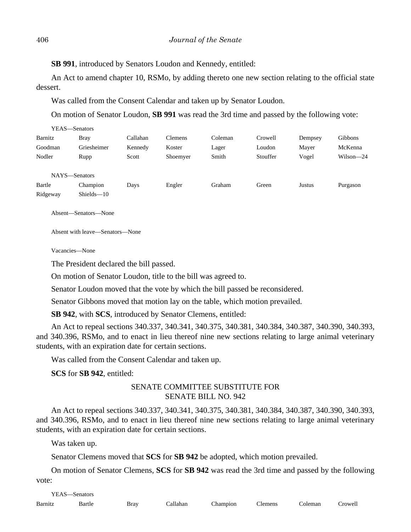**SB 991**, introduced by Senators Loudon and Kennedy, entitled:

An Act to amend chapter 10, RSMo, by adding thereto one new section relating to the official state dessert.

Was called from the Consent Calendar and taken up by Senator Loudon.

On motion of Senator Loudon, **SB 991** was read the 3rd time and passed by the following vote:

| YEAS—Senators |               |          |          |         |          |         |                |
|---------------|---------------|----------|----------|---------|----------|---------|----------------|
| Barnitz       | <b>Bray</b>   | Callahan | Clemens  | Coleman | Crowell  | Dempsey | <b>Gibbons</b> |
| Goodman       | Griesheimer   | Kennedy  | Koster   | Lager   | Loudon   | Mayer   | McKenna        |
| Nodler        | Rupp          | Scott    | Shoemyer | Smith   | Stouffer | Vogel   | $Wilson-24$    |
|               |               |          |          |         |          |         |                |
| NAYS-Senators |               |          |          |         |          |         |                |
| Bartle        | Champion      | Days     | Engler   | Graham  | Green    | Justus  | Purgason       |
| Ridgeway      | $Shields -10$ |          |          |         |          |         |                |

Absent—Senators—None

Absent with leave—Senators—None

Vacancies—None

The President declared the bill passed.

On motion of Senator Loudon, title to the bill was agreed to.

Senator Loudon moved that the vote by which the bill passed be reconsidered.

Senator Gibbons moved that motion lay on the table, which motion prevailed.

**SB 942**, with **SCS**, introduced by Senator Clemens, entitled:

An Act to repeal sections 340.337, 340.341, 340.375, 340.381, 340.384, 340.387, 340.390, 340.393, and 340.396, RSMo, and to enact in lieu thereof nine new sections relating to large animal veterinary students, with an expiration date for certain sections.

Was called from the Consent Calendar and taken up.

**SCS** for **SB 942**, entitled:

# SENATE COMMITTEE SUBSTITUTE FOR SENATE BILL NO. 942

An Act to repeal sections 340.337, 340.341, 340.375, 340.381, 340.384, 340.387, 340.390, 340.393, and 340.396, RSMo, and to enact in lieu thereof nine new sections relating to large animal veterinary students, with an expiration date for certain sections.

Was taken up.

Senator Clemens moved that **SCS** for **SB 942** be adopted, which motion prevailed.

On motion of Senator Clemens, **SCS** for **SB 942** was read the 3rd time and passed by the following vote:

YEAS—Senators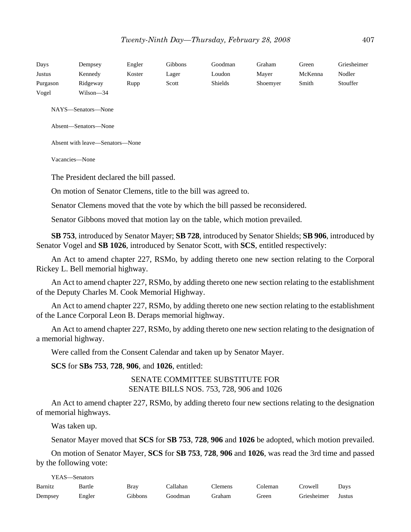| Days<br>Justus<br>Purgason<br>Vogel | Dempsey<br>Kennedy<br>Ridgeway<br>Wilson—34                    | Engler<br>Koster<br>Rupp | Gibbons<br>Lager<br>Scott | Goodman<br>Loudon<br><b>Shields</b> | Graham<br>Mayer<br>Shoemyer | Green<br>McKenna<br>Smith | Griesheimer<br>Nodler<br>Stouffer |  |  |  |
|-------------------------------------|----------------------------------------------------------------|--------------------------|---------------------------|-------------------------------------|-----------------------------|---------------------------|-----------------------------------|--|--|--|
| NAYS—Senators—None                  |                                                                |                          |                           |                                     |                             |                           |                                   |  |  |  |
|                                     | Absent-Senators-None                                           |                          |                           |                                     |                             |                           |                                   |  |  |  |
|                                     | Absent with leave—Senators—None                                |                          |                           |                                     |                             |                           |                                   |  |  |  |
| Vacancies—None                      |                                                                |                          |                           |                                     |                             |                           |                                   |  |  |  |
|                                     | The President declared the bill passed.                        |                          |                           |                                     |                             |                           |                                   |  |  |  |
|                                     | On motion of Senator Clemens, title to the bill was agreed to. |                          |                           |                                     |                             |                           |                                   |  |  |  |

Senator Clemens moved that the vote by which the bill passed be reconsidered.

Senator Gibbons moved that motion lay on the table, which motion prevailed.

**SB 753**, introduced by Senator Mayer; **SB 728**, introduced by Senator Shields; **SB 906**, introduced by Senator Vogel and **SB 1026**, introduced by Senator Scott, with **SCS**, entitled respectively:

An Act to amend chapter 227, RSMo, by adding thereto one new section relating to the Corporal Rickey L. Bell memorial highway.

An Act to amend chapter 227, RSMo, by adding thereto one new section relating to the establishment of the Deputy Charles M. Cook Memorial Highway.

An Act to amend chapter 227, RSMo, by adding thereto one new section relating to the establishment of the Lance Corporal Leon B. Deraps memorial highway.

An Act to amend chapter 227, RSMo, by adding thereto one new section relating to the designation of a memorial highway.

Were called from the Consent Calendar and taken up by Senator Mayer.

**SCS** for **SBs 753**, **728**, **906**, and **1026**, entitled:

SENATE COMMITTEE SUBSTITUTE FOR SENATE BILLS NOS. 753, 728, 906 and 1026

An Act to amend chapter 227, RSMo, by adding thereto four new sections relating to the designation of memorial highways.

Was taken up.

Senator Mayer moved that **SCS** for **SB 753**, **728**, **906** and **1026** be adopted, which motion prevailed.

On motion of Senator Mayer, **SCS** for **SB 753**, **728**, **906** and **1026**, was read the 3rd time and passed by the following vote:

YEAS—Senators Barnitz Bartle Bray Callahan Clemens Coleman Crowell Days Dempsey Engler Gibbons Goodman Graham Green Griesheimer Justus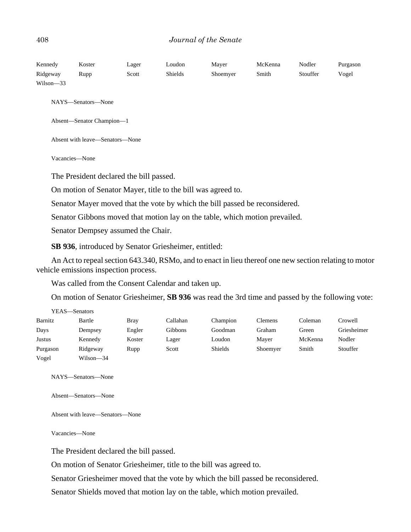| Kennedy   | Koster                          | Lager                                   | Loudon         | Mayer                                                                       | McKenna | Nodler   | Purgason |
|-----------|---------------------------------|-----------------------------------------|----------------|-----------------------------------------------------------------------------|---------|----------|----------|
| Ridgeway  | Rupp                            | Scott                                   | <b>Shields</b> | Shoemyer                                                                    | Smith   | Stouffer | Vogel    |
| Wilson-33 |                                 |                                         |                |                                                                             |         |          |          |
|           | NAYS—Senators—None              |                                         |                |                                                                             |         |          |          |
|           | Absent-Senator Champion-1       |                                         |                |                                                                             |         |          |          |
|           | Absent with leave—Senators—None |                                         |                |                                                                             |         |          |          |
|           | Vacancies-None                  |                                         |                |                                                                             |         |          |          |
|           |                                 | The President declared the bill passed. |                |                                                                             |         |          |          |
|           |                                 |                                         |                | On motion of Senator Mayer, title to the bill was agreed to.                |         |          |          |
|           |                                 |                                         |                | Senator Mayer moved that the vote by which the bill passed be reconsidered. |         |          |          |
|           |                                 |                                         |                | Senator Gibbons moved that motion lay on the table, which motion prevailed. |         |          |          |

Senator Dempsey assumed the Chair.

**SB 936**, introduced by Senator Griesheimer, entitled:

An Act to repeal section 643.340, RSMo, and to enact in lieu thereof one new section relating to motor vehicle emissions inspection process.

Was called from the Consent Calendar and taken up.

On motion of Senator Griesheimer, **SB 936** was read the 3rd time and passed by the following vote:

| YEAS—Senators |           |             |                |                |          |         |             |  |  |  |
|---------------|-----------|-------------|----------------|----------------|----------|---------|-------------|--|--|--|
| Barnitz       | Bartle    | <b>Bray</b> | Callahan       | Champion       | Clemens  | Coleman | Crowell     |  |  |  |
| Days          | Dempsey   | Engler      | <b>Gibbons</b> | Goodman        | Graham   | Green   | Griesheimer |  |  |  |
| Justus        | Kennedy   | Koster      | Lager          | Loudon         | Mayer    | McKenna | Nodler      |  |  |  |
| Purgason      | Ridgeway  | Rupp        | Scott          | <b>Shields</b> | Shoemyer | Smith   | Stouffer    |  |  |  |
| Vogel         | Wilson—34 |             |                |                |          |         |             |  |  |  |

NAYS—Senators—None

Absent—Senators—None

Absent with leave—Senators—None

Vacancies—None

The President declared the bill passed.

On motion of Senator Griesheimer, title to the bill was agreed to.

Senator Griesheimer moved that the vote by which the bill passed be reconsidered.

Senator Shields moved that motion lay on the table, which motion prevailed.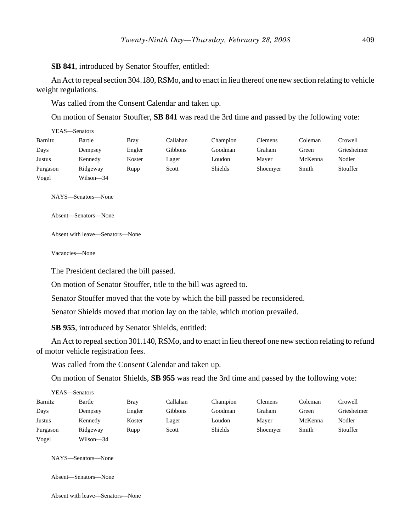**SB 841**, introduced by Senator Stouffer, entitled:

An Act to repeal section 304.180, RSMo, and to enact in lieu thereof one new section relating to vehicle weight regulations.

Was called from the Consent Calendar and taken up.

On motion of Senator Stouffer, **SB 841** was read the 3rd time and passed by the following vote:

|          | YEAS—Senators |             |          |                |          |         |             |
|----------|---------------|-------------|----------|----------------|----------|---------|-------------|
| Barnitz  | Bartle        | <b>Bray</b> | Callahan | Champion       | Clemens  | Coleman | Crowell     |
| Days     | Dempsey       | Engler      | Gibbons  | Goodman        | Graham   | Green   | Griesheimer |
| Justus   | Kennedy       | Koster      | Lager    | Loudon         | Mayer    | McKenna | Nodler      |
| Purgason | Ridgeway      | Rupp        | Scott    | <b>Shields</b> | Shoemyer | Smith   | Stouffer    |
| Vogel    | Wilson—34     |             |          |                |          |         |             |

NAYS—Senators—None

Absent—Senators—None

Absent with leave—Senators—None

Vacancies—None

The President declared the bill passed.

On motion of Senator Stouffer, title to the bill was agreed to.

Senator Stouffer moved that the vote by which the bill passed be reconsidered.

Senator Shields moved that motion lay on the table, which motion prevailed.

**SB 955**, introduced by Senator Shields, entitled:

An Act to repeal section 301.140, RSMo, and to enact in lieu thereof one new section relating to refund of motor vehicle registration fees.

Was called from the Consent Calendar and taken up.

On motion of Senator Shields, **SB 955** was read the 3rd time and passed by the following vote:

| YEAS—Senators |           |        |          |          |                |         |             |
|---------------|-----------|--------|----------|----------|----------------|---------|-------------|
| Barnitz       | Bartle    | Brav   | Callahan | Champion | <b>Clemens</b> | Coleman | Crowell     |
| Days          | Dempsey   | Engler | Gibbons  | Goodman  | Graham         | Green   | Griesheimer |
| Justus        | Kennedy   | Koster | Lager    | Loudon   | Mayer          | McKenna | Nodler      |
| Purgason      | Ridgeway  | Rupp   | Scott    | Shields  | Shoemyer       | Smith   | Stouffer    |
| Vogel         | Wilson—34 |        |          |          |                |         |             |

NAYS—Senators—None

Absent—Senators—None

Absent with leave—Senators—None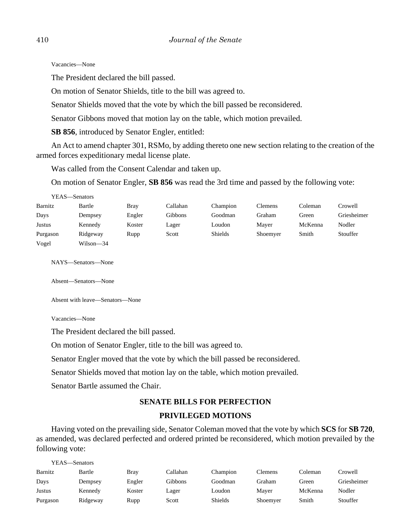Vacancies—None

The President declared the bill passed.

On motion of Senator Shields, title to the bill was agreed to.

Senator Shields moved that the vote by which the bill passed be reconsidered.

Senator Gibbons moved that motion lay on the table, which motion prevailed.

**SB 856**, introduced by Senator Engler, entitled:

An Act to amend chapter 301, RSMo, by adding thereto one new section relating to the creation of the armed forces expeditionary medal license plate.

Was called from the Consent Calendar and taken up.

On motion of Senator Engler, **SB 856** was read the 3rd time and passed by the following vote:

| YEAS—Senators |           |        |          |          |                |         |             |
|---------------|-----------|--------|----------|----------|----------------|---------|-------------|
| Barnitz       | Bartle    | Bray   | Callahan | Champion | <b>Clemens</b> | Coleman | Crowell     |
| Days          | Dempsey   | Engler | Gibbons  | Goodman  | Graham         | Green   | Griesheimer |
| Justus        | Kennedy   | Koster | Lager    | Loudon   | Maver          | McKenna | Nodler      |
| Purgason      | Ridgeway  | Rupp   | Scott    | Shields  | Shoemyer       | Smith   | Stouffer    |
| Vogel         | Wilson-34 |        |          |          |                |         |             |

NAYS—Senators—None

Absent—Senators—None

Absent with leave—Senators—None

Vacancies—None

The President declared the bill passed.

On motion of Senator Engler, title to the bill was agreed to.

Senator Engler moved that the vote by which the bill passed be reconsidered.

Senator Shields moved that motion lay on the table, which motion prevailed.

Senator Bartle assumed the Chair.

# **SENATE BILLS FOR PERFECTION PRIVILEGED MOTIONS**

Having voted on the prevailing side, Senator Coleman moved that the vote by which **SCS** for **SB 720**, as amended, was declared perfected and ordered printed be reconsidered, which motion prevailed by the following vote:

| YEAS—Senators |          |             |          |                |          |         |             |
|---------------|----------|-------------|----------|----------------|----------|---------|-------------|
| Barnitz       | Bartle   | <b>Bray</b> | Callahan | Champion       | Clemens  | Coleman | Crowell     |
| Days          | Dempsey  | Engler      | Gibbons  | Goodman        | Graham   | Green   | Griesheimer |
| Justus        | Kennedy  | Koster      | Lager    | Loudon         | Mayer    | McKenna | Nodler      |
| Purgason      | Ridgeway | Rupp        | Scott    | <b>Shields</b> | Shoemyer | Smith   | Stouffer    |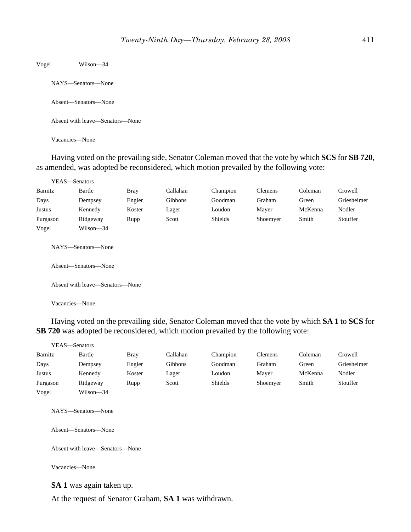Vogel Wilson—34

NAYS—Senators—None

Absent—Senators—None

Absent with leave—Senators—None

Vacancies—None

Having voted on the prevailing side, Senator Coleman moved that the vote by which **SCS** for **SB 720**, as amended, was adopted be reconsidered, which motion prevailed by the following vote:

|          | YEAS—Senators                              |             |          |          |                |         |             |
|----------|--------------------------------------------|-------------|----------|----------|----------------|---------|-------------|
| Barnitz  | Bartle                                     | <b>Bray</b> | Callahan | Champion | <b>Clemens</b> | Coleman | Crowell     |
| Days     | Dempsey                                    | Engler      | Gibbons  | Goodman  | Graham         | Green   | Griesheimer |
| Justus   | Kennedy                                    | Koster      | Lager    | Loudon   | Mayer          | McKenna | Nodler      |
| Purgason | Ridgeway                                   | Rupp        | Scott    | Shields  | Shoemyer       | Smith   | Stouffer    |
| Vogel    | Wilson-34                                  |             |          |          |                |         |             |
|          | NAYS—Senators—None<br>Absent—Senators—None |             |          |          |                |         |             |
|          | Absent with leave—Senators—None            |             |          |          |                |         |             |
|          | Vacancies-None                             |             |          |          |                |         |             |

Having voted on the prevailing side, Senator Coleman moved that the vote by which **SA 1** to **SCS** for **SB 720** was adopted be reconsidered, which motion prevailed by the following vote:

|          | YEAS—Senators                              |             |          |          |                |         |             |
|----------|--------------------------------------------|-------------|----------|----------|----------------|---------|-------------|
| Barnitz  | Bartle                                     | <b>Bray</b> | Callahan | Champion | <b>Clemens</b> | Coleman | Crowell     |
| Days     | Dempsey                                    | Engler      | Gibbons  | Goodman  | Graham         | Green   | Griesheimer |
| Justus   | Kennedy                                    | Koster      | Lager    | Loudon   | Mayer          | McKenna | Nodler      |
| Purgason | Ridgeway                                   | Rupp        | Scott    | Shields  | Shoemyer       | Smith   | Stouffer    |
| Vogel    | Wilson-34                                  |             |          |          |                |         |             |
|          | NAYS—Senators—None<br>Absent—Senators—None |             |          |          |                |         |             |
|          | Absent with leave—Senators—None            |             |          |          |                |         |             |
|          | Vacancies—None                             |             |          |          |                |         |             |

**SA 1** was again taken up.

At the request of Senator Graham, **SA 1** was withdrawn.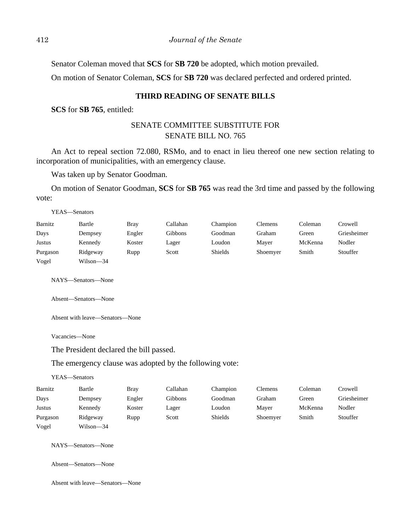Senator Coleman moved that **SCS** for **SB 720** be adopted, which motion prevailed.

On motion of Senator Coleman, **SCS** for **SB 720** was declared perfected and ordered printed.

#### **THIRD READING OF SENATE BILLS**

**SCS** for **SB 765**, entitled:

# SENATE COMMITTEE SUBSTITUTE FOR SENATE BILL NO. 765

An Act to repeal section 72.080, RSMo, and to enact in lieu thereof one new section relating to incorporation of municipalities, with an emergency clause.

Was taken up by Senator Goodman.

On motion of Senator Goodman, **SCS** for **SB 765** was read the 3rd time and passed by the following vote:

| YEAS—Senators |           |             |          |                |                |         |             |
|---------------|-----------|-------------|----------|----------------|----------------|---------|-------------|
| Barnitz       | Bartle    | <b>Bray</b> | Callahan | Champion       | <b>Clemens</b> | Coleman | Crowell     |
| Days          | Dempsey   | Engler      | Gibbons  | Goodman        | Graham         | Green   | Griesheimer |
| Justus        | Kennedy   | Koster      | Lager    | Loudon         | Maver          | McKenna | Nodler      |
| Purgason      | Ridgeway  | Rupp        | Scott    | <b>Shields</b> | Shoemyer       | Smith   | Stouffer    |
| Vogel         | Wilson-34 |             |          |                |                |         |             |

NAYS—Senators—None

Absent—Senators—None

Absent with leave—Senators—None

Vacancies—None

The President declared the bill passed.

The emergency clause was adopted by the following vote:

YEAS—Senators

| Barnitz  | Bartle    | <b>Bray</b> | Callahan | Champion       | Clemens  | Coleman | Crowell     |
|----------|-----------|-------------|----------|----------------|----------|---------|-------------|
| Days     | Dempsey   | Engler      | Gibbons  | Goodman        | Graham   | Green   | Griesheimer |
| Justus   | Kennedy   | Koster      | Lager    | Loudon         | Mayer    | McKenna | Nodler      |
| Purgason | Ridgeway  | Rupp        | Scott    | <b>Shields</b> | Shoemyer | Smith   | Stouffer    |
| Vogel    | Wilson-34 |             |          |                |          |         |             |

NAYS—Senators—None

Absent—Senators—None

Absent with leave—Senators—None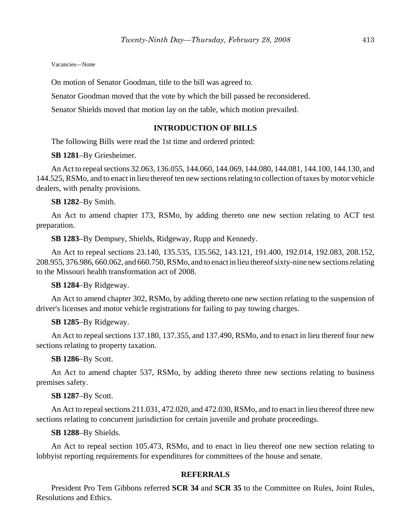Vacancies—None

On motion of Senator Goodman, title to the bill was agreed to.

Senator Goodman moved that the vote by which the bill passed be reconsidered.

Senator Shields moved that motion lay on the table, which motion prevailed.

#### **INTRODUCTION OF BILLS**

The following Bills were read the 1st time and ordered printed:

**SB 1281**–By Griesheimer.

An Act to repeal sections 32.063, 136.055, 144.060, 144.069, 144.080, 144.081, 144.100, 144.130, and 144.525, RSMo, and to enact in lieu thereof ten new sections relating to collection of taxes by motor vehicle dealers, with penalty provisions.

**SB 1282**–By Smith.

An Act to amend chapter 173, RSMo, by adding thereto one new section relating to ACT test preparation.

**SB 1283**–By Dempsey, Shields, Ridgeway, Rupp and Kennedy.

An Act to repeal sections 23.140, 135.535, 135.562, 143.121, 191.400, 192.014, 192.083, 208.152, 208.955, 376.986, 660.062, and 660.750, RSMo, and to enact in lieu thereof sixty-nine new sections relating to the Missouri health transformation act of 2008.

**SB 1284**–By Ridgeway.

An Act to amend chapter 302, RSMo, by adding thereto one new section relating to the suspension of driver's licenses and motor vehicle registrations for failing to pay towing charges.

**SB 1285**–By Ridgeway.

An Act to repeal sections 137.180, 137.355, and 137.490, RSMo, and to enact in lieu thereof four new sections relating to property taxation.

**SB 1286**–By Scott.

An Act to amend chapter 537, RSMo, by adding thereto three new sections relating to business premises safety.

**SB 1287**–By Scott.

An Act to repeal sections 211.031, 472.020, and 472.030, RSMo, and to enact in lieu thereof three new sections relating to concurrent jurisdiction for certain juvenile and probate proceedings.

**SB 1288**–By Shields.

An Act to repeal section 105.473, RSMo, and to enact in lieu thereof one new section relating to lobbyist reporting requirements for expenditures for committees of the house and senate.

#### **REFERRALS**

President Pro Tem Gibbons referred **SCR 34** and **SCR 35** to the Committee on Rules, Joint Rules, Resolutions and Ethics.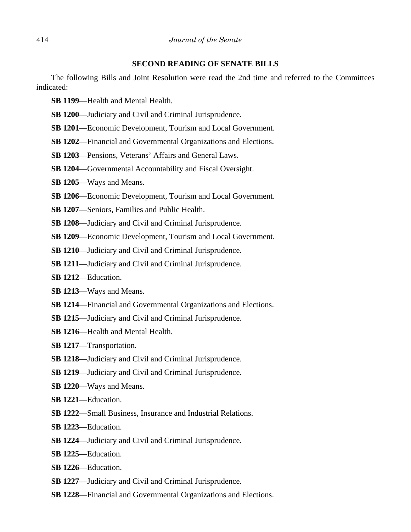#### **SECOND READING OF SENATE BILLS**

The following Bills and Joint Resolution were read the 2nd time and referred to the Committees indicated:

- **SB 1199**—Health and Mental Health.
- **SB 1200**—Judiciary and Civil and Criminal Jurisprudence.
- **SB 1201**—Economic Development, Tourism and Local Government.
- **SB 1202**—Financial and Governmental Organizations and Elections.
- **SB 1203**—Pensions, Veterans' Affairs and General Laws.
- **SB 1204**—Governmental Accountability and Fiscal Oversight.
- **SB 1205**—Ways and Means.
- **SB 1206**—Economic Development, Tourism and Local Government.
- **SB 1207**—Seniors, Families and Public Health.
- **SB 1208**—Judiciary and Civil and Criminal Jurisprudence.
- **SB 1209**—Economic Development, Tourism and Local Government.
- **SB 1210**—Judiciary and Civil and Criminal Jurisprudence.
- **SB 1211**—Judiciary and Civil and Criminal Jurisprudence.
- **SB 1212**—Education.
- **SB 1213**—Ways and Means.
- **SB 1214**—Financial and Governmental Organizations and Elections.
- **SB 1215**—Judiciary and Civil and Criminal Jurisprudence.
- **SB 1216**—Health and Mental Health.
- **SB 1217**—Transportation.
- **SB 1218**—Judiciary and Civil and Criminal Jurisprudence.
- **SB 1219**—Judiciary and Civil and Criminal Jurisprudence.
- **SB 1220**—Ways and Means.
- **SB 1221**—Education.
- **SB 1222**—Small Business, Insurance and Industrial Relations.
- **SB 1223**—Education.
- **SB 1224**—Judiciary and Civil and Criminal Jurisprudence.
- **SB 1225**—Education.
- **SB 1226**—Education.
- **SB 1227**—Judiciary and Civil and Criminal Jurisprudence.
- **SB 1228**—Financial and Governmental Organizations and Elections.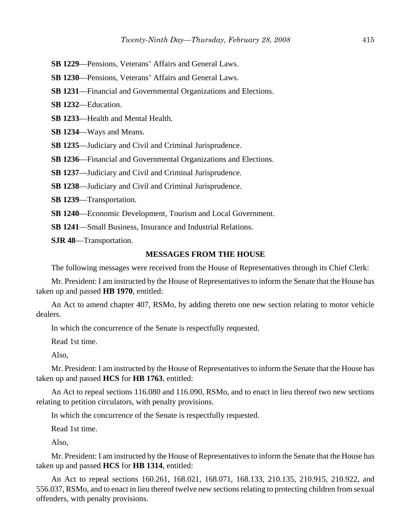**SB 1229**—Pensions, Veterans' Affairs and General Laws.

**SB 1230**—Pensions, Veterans' Affairs and General Laws.

**SB 1231**—Financial and Governmental Organizations and Elections.

**SB 1232**—Education.

**SB 1233**—Health and Mental Health.

**SB 1234**—Ways and Means.

**SB 1235**—Judiciary and Civil and Criminal Jurisprudence.

**SB 1236**—Financial and Governmental Organizations and Elections.

**SB 1237**—Judiciary and Civil and Criminal Jurisprudence.

**SB 1238**—Judiciary and Civil and Criminal Jurisprudence.

**SB 1239**—Transportation.

**SB 1240**—Economic Development, Tourism and Local Government.

**SB 1241**—Small Business, Insurance and Industrial Relations.

**SJR 48**—Transportation.

#### **MESSAGES FROM THE HOUSE**

The following messages were received from the House of Representatives through its Chief Clerk:

Mr. President: I am instructed by the House of Representatives to inform the Senate that the House has taken up and passed **HB 1970**, entitled:

An Act to amend chapter 407, RSMo, by adding thereto one new section relating to motor vehicle dealers.

In which the concurrence of the Senate is respectfully requested.

Read 1st time.

Also,

Mr. President: I am instructed by the House of Representatives to inform the Senate that the House has taken up and passed **HCS** for **HB 1763**, entitled:

An Act to repeal sections 116.080 and 116.090, RSMo, and to enact in lieu thereof two new sections relating to petition circulators, with penalty provisions.

In which the concurrence of the Senate is respectfully requested.

Read 1st time.

Also,

Mr. President: I am instructed by the House of Representatives to inform the Senate that the House has taken up and passed **HCS** for **HB 1314**, entitled:

An Act to repeal sections 160.261, 168.021, 168.071, 168.133, 210.135, 210.915, 210.922, and 556.037, RSMo, and to enact in lieu thereof twelve new sections relating to protecting children from sexual offenders, with penalty provisions.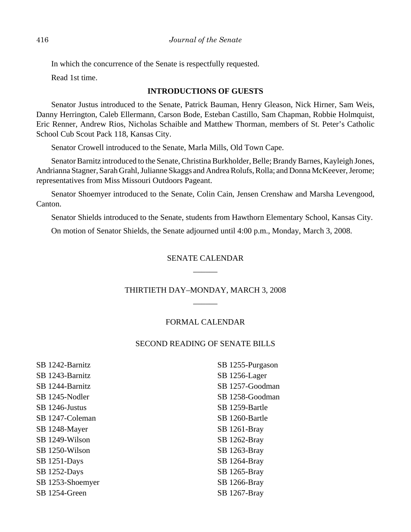In which the concurrence of the Senate is respectfully requested.

Read 1st time.

#### **INTRODUCTIONS OF GUESTS**

Senator Justus introduced to the Senate, Patrick Bauman, Henry Gleason, Nick Hirner, Sam Weis, Danny Herrington, Caleb Ellermann, Carson Bode, Esteban Castillo, Sam Chapman, Robbie Holmquist, Eric Renner, Andrew Rios, Nicholas Schaible and Matthew Thorman, members of St. Peter's Catholic School Cub Scout Pack 118, Kansas City.

Senator Crowell introduced to the Senate, Marla Mills, Old Town Cape.

Senator Barnitz introduced to the Senate, Christina Burkholder, Belle; Brandy Barnes, Kayleigh Jones, Andrianna Stagner, Sarah Grahl, Julianne Skaggs and Andrea Rolufs, Rolla; and Donna McKeever, Jerome; representatives from Miss Missouri Outdoors Pageant.

Senator Shoemyer introduced to the Senate, Colin Cain, Jensen Crenshaw and Marsha Levengood, Canton.

Senator Shields introduced to the Senate, students from Hawthorn Elementary School, Kansas City.

On motion of Senator Shields, the Senate adjourned until 4:00 p.m., Monday, March 3, 2008.

# SENATE CALENDAR  $\overline{\phantom{a}}$

# THIRTIETH DAY–MONDAY, MARCH 3, 2008 \_\_\_\_\_\_

# FORMAL CALENDAR

# SECOND READING OF SENATE BILLS

SB 1242-Barnitz SB 1243-Barnitz SB 1244-Barnitz SB 1245-Nodler SB 1246-Justus SB 1247-Coleman SB 1248-Mayer SB 1249-Wilson SB 1250-Wilson SB 1251-Days SB 1252-Days SB 1253-Shoemyer SB 1254-Green

SB 1255-Purgason SB 1256-Lager SB 1257-Goodman SB 1258-Goodman SB 1259-Bartle SB 1260-Bartle SB 1261-Bray SB 1262-Bray SB 1263-Bray SB 1264-Bray SB 1265-Bray SB 1266-Bray SB 1267-Bray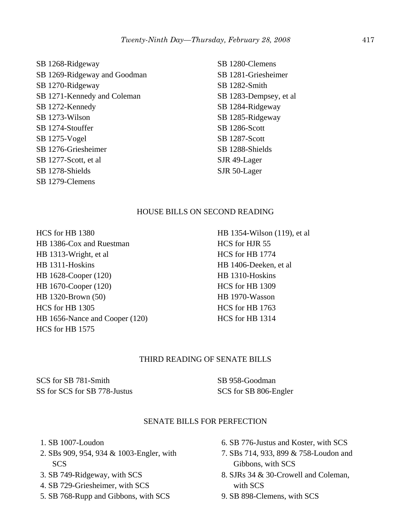SB 1268-Ridgeway SB 1269-Ridgeway and Goodman SB 1270-Ridgeway SB 1271-Kennedy and Coleman SB 1272-Kennedy SB 1273-Wilson SB 1274-Stouffer SB 1275-Vogel SB 1276-Griesheimer SB 1277-Scott, et al SB 1278-Shields SB 1279-Clemens

SB 1280-Clemens SB 1281-Griesheimer SB 1282-Smith SB 1283-Dempsey, et al SB 1284-Ridgeway SB 1285-Ridgeway SB 1286-Scott SB 1287-Scott SB 1288-Shields SJR 49-Lager SJR 50-Lager

#### HOUSE BILLS ON SECOND READING

HCS for HB 1380 HB 1386-Cox and Ruestman HB 1313-Wright, et al HB 1311-Hoskins HB 1628-Cooper (120) HB 1670-Cooper (120) HB 1320-Brown (50) HCS for HB 1305 HB 1656-Nance and Cooper (120) HCS for HB 1575

HB 1354-Wilson (119), et al HCS for HJR 55 HCS for HB 1774 HB 1406-Deeken, et al HB 1310-Hoskins HCS for HB 1309 HB 1970-Wasson HCS for HB 1763 HCS for HB 1314

# THIRD READING OF SENATE BILLS

SCS for SB 781-Smith SS for SCS for SB 778-Justus SB 958-Goodman SCS for SB 806-Engler

#### SENATE BILLS FOR PERFECTION

- 1. SB 1007-Loudon
- 2. SBs 909, 954, 934 & 1003-Engler, with SCS
- 3. SB 749-Ridgeway, with SCS
- 4. SB 729-Griesheimer, with SCS
- 5. SB 768-Rupp and Gibbons, with SCS
- 6. SB 776-Justus and Koster, with SCS
- 7. SBs 714, 933, 899 & 758-Loudon and Gibbons, with SCS
- 8. SJRs 34 & 30-Crowell and Coleman, with SCS
- 9. SB 898-Clemens, with SCS